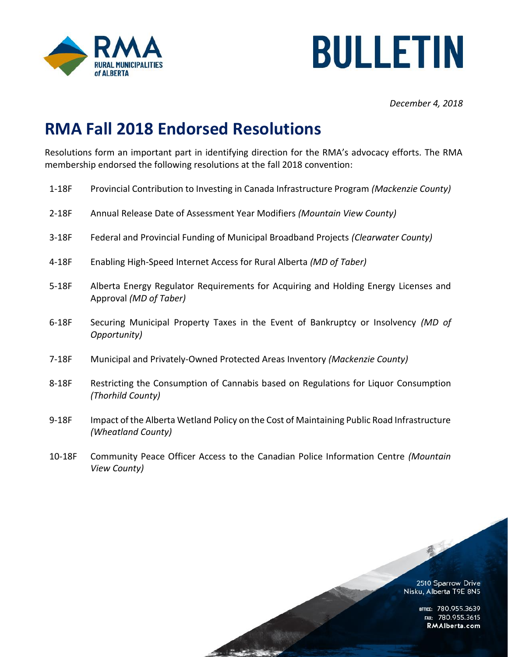



*December 4, 2018*

## **RMA Fall 2018 Endorsed Resolutions**

Resolutions form an important part in identifying direction for the RMA's advocacy efforts. The RMA membership endorsed the following resolutions at the fall 2018 convention:

- 1-18F Provincial Contribution to Investing in Canada Infrastructure Program *(Mackenzie County)*
- 2-18F Annual Release Date of Assessment Year Modifiers *(Mountain View County)*
- 3-18F Federal and Provincial Funding of Municipal Broadband Projects *(Clearwater County)*
- 4-18F Enabling High-Speed Internet Access for Rural Alberta *(MD of Taber)*
- 5-18F Alberta Energy Regulator Requirements for Acquiring and Holding Energy Licenses and Approval *(MD of Taber)*
- 6-18F Securing Municipal Property Taxes in the Event of Bankruptcy or Insolvency *(MD of Opportunity)*
- 7-18F Municipal and Privately-Owned Protected Areas Inventory *(Mackenzie County)*
- 8-18F Restricting the Consumption of Cannabis based on Regulations for Liquor Consumption *(Thorhild County)*
- 9-18F Impact of the Alberta Wetland Policy on the Cost of Maintaining Public Road Infrastructure *(Wheatland County)*
- 10-18F Community Peace Officer Access to the Canadian Police Information Centre *(Mountain View County)*

2510 Sparrow Drive Nisku, Alberta T9E 8N5

最

OFFICE: 780.955.3639<br>Fax: 780.955.3615 RMAlberta.com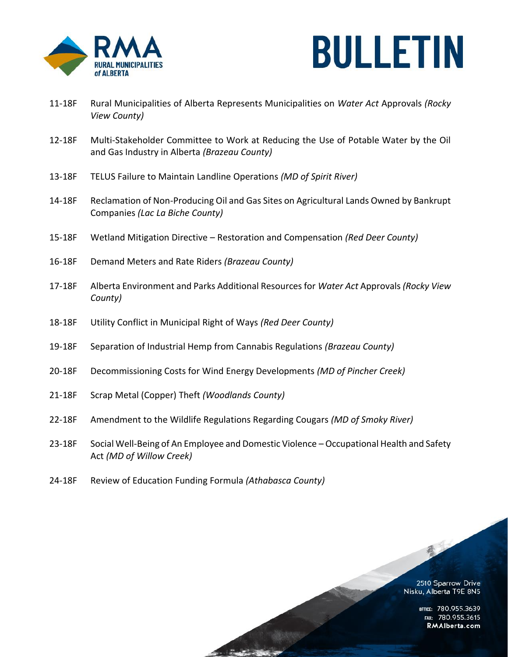



- 11-18F Rural Municipalities of Alberta Represents Municipalities on *Water Act* Approvals *(Rocky View County)*
- 12-18F Multi-Stakeholder Committee to Work at Reducing the Use of Potable Water by the Oil and Gas Industry in Alberta *(Brazeau County)*
- 13-18F TELUS Failure to Maintain Landline Operations *(MD of Spirit River)*
- 14-18F Reclamation of Non-Producing Oil and Gas Sites on Agricultural Lands Owned by Bankrupt Companies *(Lac La Biche County)*
- 15-18F Wetland Mitigation Directive Restoration and Compensation *(Red Deer County)*
- 16-18F Demand Meters and Rate Riders *(Brazeau County)*
- 17-18F Alberta Environment and Parks Additional Resources for *Water Act* Approvals *(Rocky View County)*
- 18-18F Utility Conflict in Municipal Right of Ways *(Red Deer County)*
- 19-18F Separation of Industrial Hemp from Cannabis Regulations *(Brazeau County)*
- 20-18F Decommissioning Costs for Wind Energy Developments *(MD of Pincher Creek)*
- 21-18F Scrap Metal (Copper) Theft *(Woodlands County)*
- 22-18F Amendment to the Wildlife Regulations Regarding Cougars *(MD of Smoky River)*

 $280 - 172$ 

- 23-18F Social Well-Being of An Employee and Domestic Violence Occupational Health and Safety Act *(MD of Willow Creek)*
- 24-18F Review of Education Funding Formula *(Athabasca County)*

2510 Sparrow Drive Nisku, Alberta T9E 8N5

子

OFFICE: 780.955.3639<br>20.955.3615 Fax: 780.955 RMAlberta.com